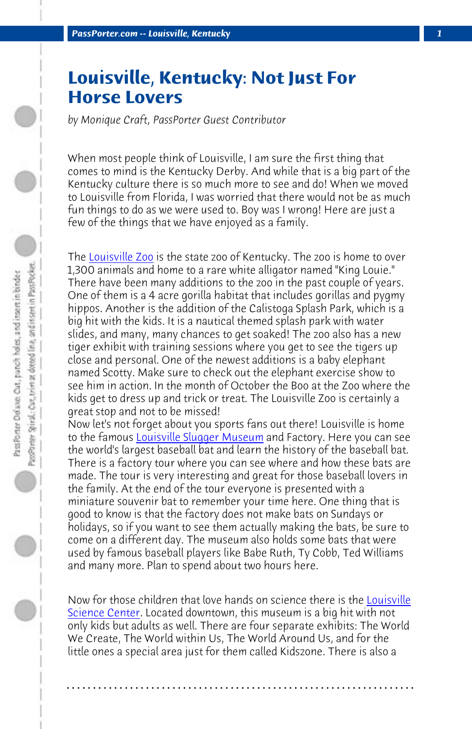*Pas[sPorter.com -- Lo](http://www.louisvillezoo.org/)uisville, Kentucky 1*

## **Louisville, Kentucky: Not Just For Horse Lovers**

*by Monique Craft, PassPorter Guest Contributor*

When most people think of Louisville, I am sure the first thing that comes to mind is the Kentucky Derby. And while that is a big part of the Kentucky culture there is so much more to see and do! When we moved to Louisville from Florida, I was worried that there would not be as much fun things to do as we were used to. Boy was I wrong! Here are just a few of the thi[ngs that we have enjoyed as](http://www.sluggermuseum.org/) a family.

The Louisville Zoo is the state zoo of Kentucky. The zoo is home to over 1,300 animals and home to a rare white alligator named "King Louie." There have been many additions to the zoo in the past couple of years. One of them is a 4 acre gorilla habitat that includes gorillas and pygmy hippos. Another is the addition of the Calistoga Splash Park, which is a big hit with the kids. It is a nautical themed splash park with water slides, and many, many chances to get soaked! The zoo also has a new tiger exhibit with training sessions where you get to see the tigers up close and personal. One of the newest additions is a baby elephant named Scotty. Make sure to check out the elephant exercise show to see him in action. In the month of October the Boo at the Zoo [where the](http://www.louisvillescience.org/) [kids get to dres](http://www.louisvillescience.org/)s up and trick or treat. The Louisville Zoo is certainly a great stop and not to be missed!

Now let's not forget about you sports fans out there! Louisville is home to the famous Louisville Slugger Museum and Factory. Here you can see the world's largest baseball bat and learn the history of the baseball bat. There is a factory tour where you can see where and how these bats are made. The tour is very interesting and great for those baseball lovers in the family. At the end of the tour everyone is presented with a miniature souvenir bat to remember your time here. One thing that is good to know is that the factory does not make bats on Sundays or holidays, so if you want to see them actually making the bats, be sure to come on a different day. The museum also holds some bats that were used by famous baseball players like Babe Ruth, Ty Cobb, Ted Williams and many more. Plan to spend about two hours here.

Now for those children that love hands on science there is the Louisville Science Center. Located downtown, this museum is a big hit with not only kids but adults as well. There are four separate exhibits: The World We Create, The World within Us, The World Around Us, and for the little ones a special area just for them called Kidszone. There is also a

**. . . . . . . . . . . . . . . . . . . . . . . . . . . . . . . . . . . . . . . . . . . . . . . . . . . . . . . . . . . . . . . . . .**